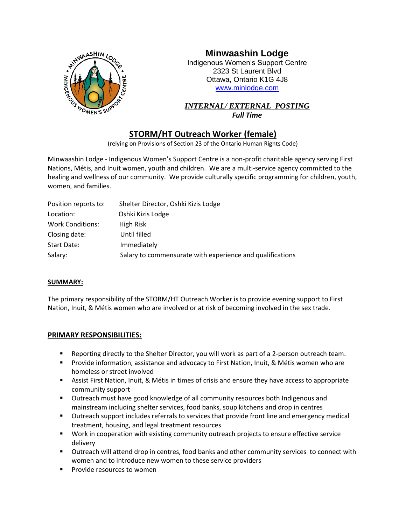

# **Minwaashin Lodge**

Indigenous Women's Support Centre 2323 St Laurent Blvd Ottawa, Ontario K1G 4J8 [www.minlodge.com](http://www.minlodge.com/)

*INTERNAL/ EXTERNAL POSTING*

*Full Time*

## **STORM/HT Outreach Worker (female)**

(relying on Provisions of Section 23 of the Ontario Human Rights Code)

Minwaashin Lodge - Indigenous Women's Support Centre is a non-profit charitable agency serving First Nations, Métis, and Inuit women, youth and children. We are a multi-service agency committed to the healing and wellness of our community. We provide culturally specific programming for children, youth, women, and families.

| Position reports to:    | Shelter Director, Oshki Kizis Lodge                       |
|-------------------------|-----------------------------------------------------------|
| Location:               | Oshki Kizis Lodge                                         |
| <b>Work Conditions:</b> | High Risk                                                 |
| Closing date:           | Until filled                                              |
| Start Date:             | Immediately                                               |
| Salary:                 | Salary to commensurate with experience and qualifications |

#### **SUMMARY:**

The primary responsibility of the STORM/HT Outreach Worker is to provide evening support to First Nation, Inuit, & Métis women who are involved or at risk of becoming involved in the sex trade.

#### **PRIMARY RESPONSIBILITIES:**

- Reporting directly to the Shelter Director, you will work as part of a 2-person outreach team.
- Provide information, assistance and advocacy to First Nation, Inuit, & Métis women who are homeless or street involved
- Assist First Nation, Inuit, & Métis in times of crisis and ensure they have access to appropriate community support
- Outreach must have good knowledge of all community resources both Indigenous and mainstream including shelter services, food banks, soup kitchens and drop in centres
- **■** Outreach support includes referrals to services that provide front line and emergency medical treatment, housing, and legal treatment resources
- Work in cooperation with existing community outreach projects to ensure effective service delivery
- **■** Outreach will attend drop in centres, food banks and other community services to connect with women and to introduce new women to these service providers
- Provide resources to women